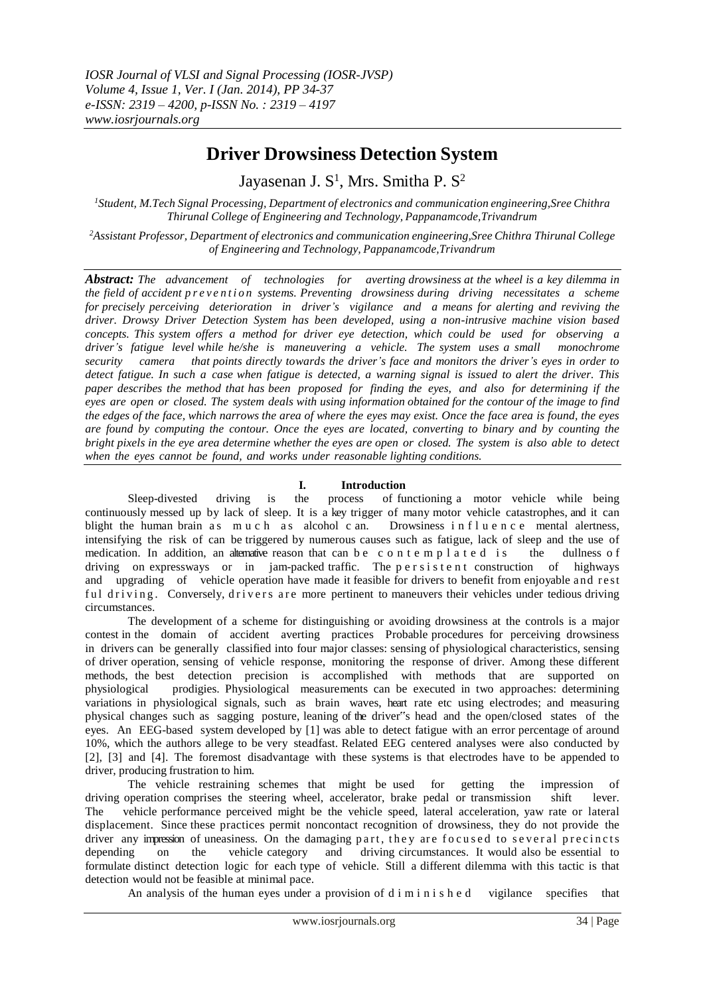# **Driver Drowsiness Detection System**

Jayasenan J. S<sup>1</sup>, Mrs. Smitha P. S<sup>2</sup>

*<sup>1</sup>Student, M.Tech Signal Processing, Department of electronics and communication engineering,Sree Chithra Thirunal College of Engineering and Technology, Pappanamcode,Trivandrum*

*<sup>2</sup>Assistant Professor, Department of electronics and communication engineering,Sree Chithra Thirunal College of Engineering and Technology, Pappanamcode,Trivandrum*

*Abstract: The advancement of technologies for averting drowsiness at the wheel is a key dilemma in*  the field of accident prevention systems. Preventing drowsiness during driving necessitates a scheme *for precisely perceiving deterioration in driver's vigilance and a means for alerting and reviving the driver. Drowsy Driver Detection System has been developed, using a non-intrusive machine vision based concepts. This system offers a method for driver eye detection, which could be used for observing a driver's fatigue level while he/she is maneuvering a vehicle. The system uses a small monochrome security camera that points directly towards the driver's face and monitors the driver's eyes in order to* detect fatigue. In such a case when fatigue is detected, a warning signal is issued to alert the driver. This *paper describes the method that has been proposed for finding the eyes, and also for determining if the eyes are open or closed. The system deals with using information obtained for the contour of the image to find* the edges of the face, which narrows the area of where the eyes may exist. Once the face area is found, the eyes *are found by computing the contour. Once the eyes are located, converting to binary and by counting the* bright pixels in the eye area determine whether the eyes are open or closed. The system is also able to detect *when the eyes cannot be found, and works under reasonable lighting conditions.*

# **I. Introduction**<br>the process of fu

Sleep-divested driving is the process of functioning a [motor vehicle wh](http://en.wikipedia.org/wiki/Automobile)ile being continuously messed up by lack of [sleep.](http://en.wikipedia.org/wiki/Sleep) It is a key trigger of many motor vehicle catastrophes, and it can blight the human brain as much as [alcohol](http://en.wikipedia.org/wiki/Alcohol) c an. Drowsiness in fluence mental alertness, intensifying the risk of can be triggered by numerous causes such as fatigue, lack of sleep and the use of medication. In addition, an alternative reason that can be c o n t e m p l a t e d is the dullness of driving on expressways or in jam-packed traffic. The p e r s i s t e n t construction of highways and upgrading of vehicle operation have made it feasible for drivers to benefit from enjoyable and r est ful driving. Conversely, drivers are more pertinent to maneuvers their vehicles under tedious driving circumstances.

The development of a scheme for distinguishing or avoiding drowsiness at the controls is a major contest in the domain of accident averting practices Probable procedures for perceiving drowsiness in drivers can be generally classified into four major classes: sensing of physiological characteristics, sensing of driver operation, sensing of vehicle response, monitoring the response of driver. Among these different methods, the best detection precision is accomplished with methods that are supported on physiological prodigies. Physiological measurements can be executed in two approaches: determining variations in physiological signals, such as brain waves, heart rate etc using electrodes; and measuring physical changes such as sagging posture, leaning of the driver"s head and the open/closed states of the eyes. An EEG-based system developed by [1] was able to detect fatigue with an error percentage of around 10%, which the authors allege to be very steadfast. Related EEG centered analyses were also conducted by [2], [3] and [4]. The foremost disadvantage with these systems is that electrodes have to be appended to driver, producing frustration to him.

The vehicle restraining schemes that might be used for getting the impression of driving operation comprises the steering wheel, accelerator, brake pedal or transmission shift lever. The vehicle performance perceived might be the vehicle speed, lateral acceleration, yaw rate or lateral displacement. Since these practices permit noncontact recognition of drowsiness, they do not provide the driver any impression of uneasiness. On the damaging part, they are focused to several precincts depending on the vehicle category and driving circumstances. It would also be essential to formulate distinct detection logic for each type of vehicle. Still a different dilemma with this tactic is that detection would not be feasible at minimal pace.

An analysis of the human eyes under a provision of d i m i n i s h e d vigilance specifies that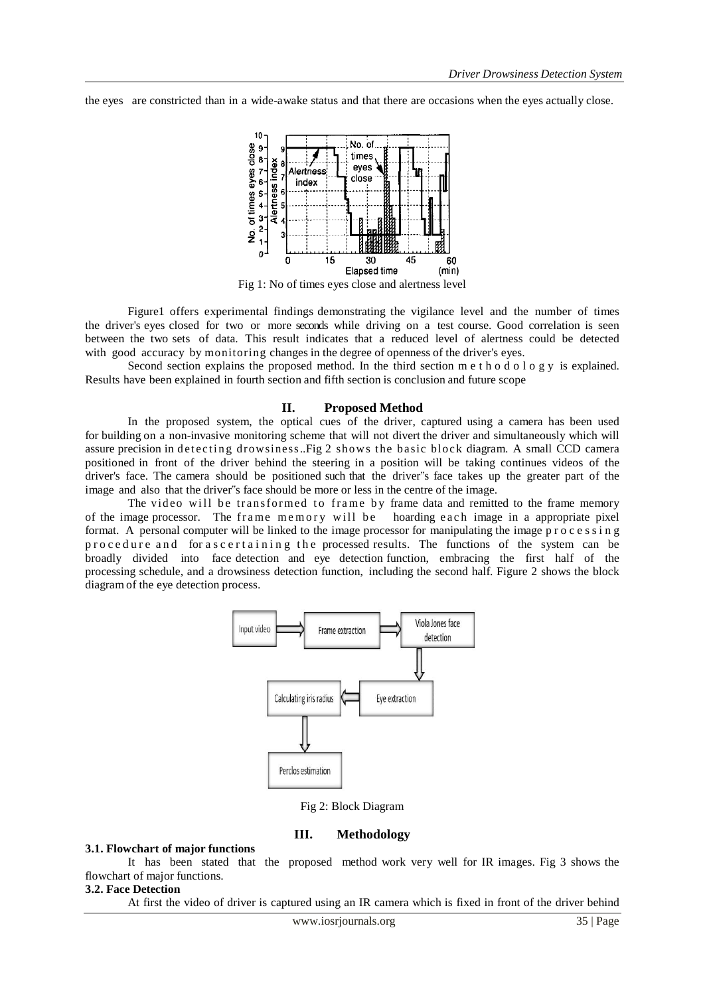the eyes are constricted than in a wide-awake status and that there are occasions when the eyes actually close.



Fig 1: No of times eyes close and alertness level

Figure1 offers experimental findings demonstrating the vigilance level and the number of times the driver's eyes closed for two or more seconds while driving on a test course. Good correlation is seen between the two sets of data. This result indicates that a reduced level of alertness could be detected with good accuracy by monitoring changes in the degree of openness of the driver's eyes.

Second section explains the proposed method. In the third section m e t h o d o l o g y is explained. Results have been explained in fourth section and fifth section is conclusion and future scope

#### **II. Proposed Method**

In the proposed system, the optical cues of the driver, captured using a camera has been used for building on a non-invasive monitoring scheme that will not divert the driver and simultaneously which will assure precision in detecting drowsiness..Fig 2 shows the basic block diagram. A small CCD camera positioned in front of the driver behind the steering in a position will be taking continues videos of the driver's face. The camera should be positioned such that the driver"s face takes up the greater part of the image and also that the driver"s face should be more or less in the centre of the image.

The video will be transformed to frame by frame data and remitted to the frame memory of the image processor. The frame memory will be hoarding each image in a appropriate pixel format. A personal computer will be linked to the image processor for manipulating the image  $p \, r \, o \, c \, e \, s \, s \, i \, n \, g$ procedure and for ascertaining the processed results. The functions of the system can be broadly divided into face detection and eye detection function, embracing the first half of the processing schedule, and a drowsiness detection function, including the second half. Figure 2 shows the block diagram of the eye detection process.



Fig 2: Block Diagram

#### **III. Methodology**

#### **3.1. Flowchart of major functions**

It has been stated that the proposed method work very well for IR images. Fig 3 shows the flowchart of major functions.

## **3.2. Face Detection**

At first the video of driver is captured using an IR camera which is fixed in front of the driver behind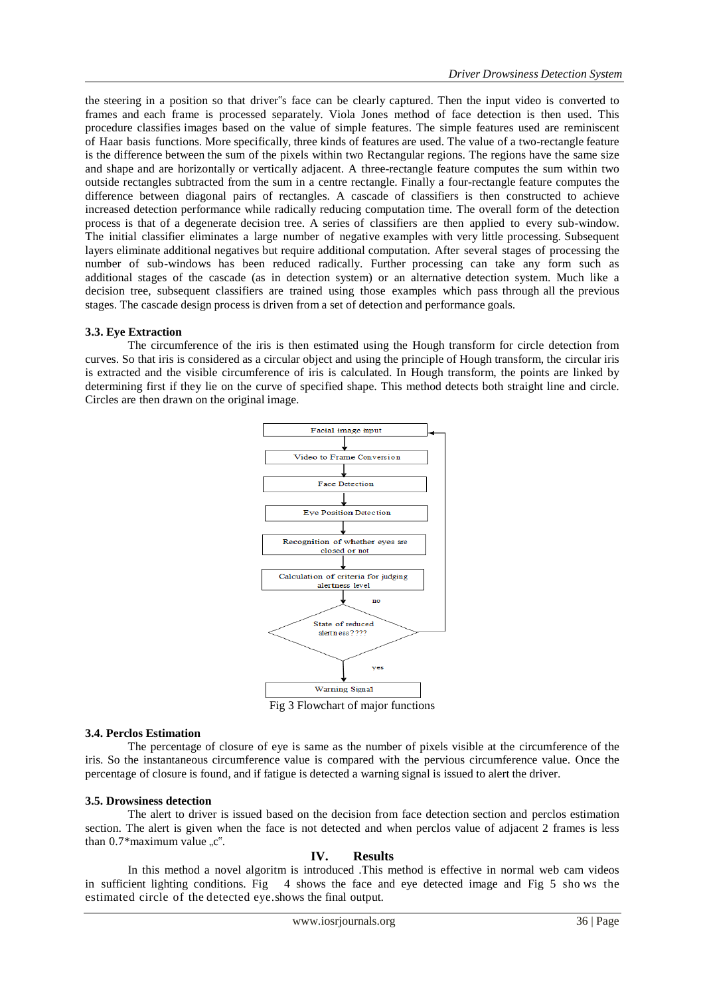the steering in a position so that driver"s face can be clearly captured. Then the input video is converted to frames and each frame is processed separately. Viola Jones method of face detection is then used. This procedure classifies images based on the value of simple features. The simple features used are reminiscent of Haar basis functions. More specifically, three kinds of features are used. The value of a two-rectangle feature is the difference between the sum of the pixels within two Rectangular regions. The regions have the same size and shape and are horizontally or vertically adjacent. A three-rectangle feature computes the sum within two outside rectangles subtracted from the sum in a centre rectangle. Finally a four-rectangle feature computes the difference between diagonal pairs of rectangles. A cascade of classifiers is then constructed to achieve increased detection performance while radically reducing computation time. The overall form of the detection process is that of a degenerate decision tree. A series of classifiers are then applied to every sub-window. The initial classifier eliminates a large number of negative examples with very little processing. Subsequent layers eliminate additional negatives but require additional computation. After several stages of processing the number of sub-windows has been reduced radically. Further processing can take any form such as additional stages of the cascade (as in detection system) or an alternative detection system. Much like a decision tree, subsequent classifiers are trained using those examples which pass through all the previous stages. The cascade design process is driven from a set of detection and performance goals.

#### **3.3. Eye Extraction**

The circumference of the iris is then estimated using the Hough transform for circle detection from curves. So that iris is considered as a circular object and using the principle of Hough transform, the circular iris is extracted and the visible circumference of iris is calculated. In Hough transform, the points are linked by determining first if they lie on the curve of specified shape. This method detects both straight line and circle. Circles are then drawn on the original image.



Fig 3 Flowchart of major functions

#### **3.4. Perclos Estimation**

The percentage of closure of eye is same as the number of pixels visible at the circumference of the iris. So the instantaneous circumference value is compared with the pervious circumference value. Once the percentage of closure is found, and if fatigue is detected a warning signal is issued to alert the driver.

### **3.5. Drowsiness detection**

The alert to driver is issued based on the decision from face detection section and perclos estimation section. The alert is given when the face is not detected and when perclos value of adjacent 2 frames is less than  $0.7*$ maximum value " $c$ ".

#### **IV. Results**

In this method a novel algoritm is introduced .This method is effective in normal web cam videos in sufficient lighting conditions. Fig 4 shows the face and eye detected image and Fig 5 sho ws the estimated circle of the detected eye.shows the final output.